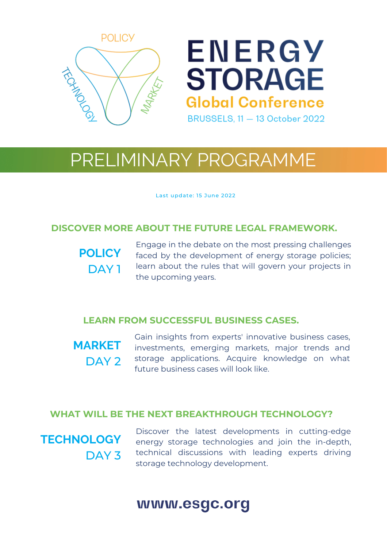

# ENERGY **STORAGE Global Conference BRUSSELS, 11 - 13 October 2022**

## PRELIMINARY PROGRAMME

Last update: 15 June 2022

#### **DISCOVER MORE ABOUT THE FUTURE LEGAL FRAMEWORK.**

**POLICY** DAY 1

Engage in the debate on the most pressing challenges faced by the development of energy storage policies; learn about the rules that will govern your projects in the upcoming years.

#### **LEARN FROM SUCCESSFUL BUSINESS CASES.**

**MARKET** DAY<sub>2</sub> Gain insights from experts' innovative business cases, investments, emerging markets, major trends and storage applications. Acquire knowledge on what future business cases will look like.

#### **WHAT WILL BE THE NEXT BREAKTHROUGH TECHNOLOGY?**

**TECHNOLOGY** DAY<sub>3</sub>

Discover the latest developments in cutting-edge energy storage technologies and join the in-depth, technical discussions with leading experts driving storage technology development.

### www.esgc.org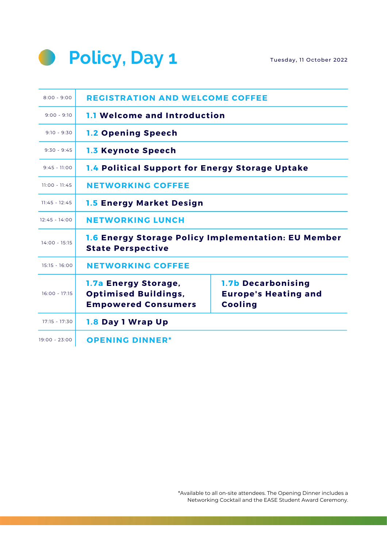



| $8:00 - 9:00$   | <b>REGISTRATION AND WELCOME COFFEE</b>                                            |                                                                            |  |  |
|-----------------|-----------------------------------------------------------------------------------|----------------------------------------------------------------------------|--|--|
| $9:00 - 9:10$   | 1.1 Welcome and Introduction                                                      |                                                                            |  |  |
| $9:10 - 9:30$   | <b>1.2 Opening Speech</b>                                                         |                                                                            |  |  |
| $9:30 - 9:45$   | <b>1.3 Keynote Speech</b>                                                         |                                                                            |  |  |
| $9:45 - 11:00$  | 1.4 Political Support for Energy Storage Uptake                                   |                                                                            |  |  |
| $11:00 - 11:45$ | <b>NETWORKING COFFEE</b>                                                          |                                                                            |  |  |
| $11:45 - 12:45$ | <b>1.5 Energy Market Design</b>                                                   |                                                                            |  |  |
| $12:45 - 14:00$ | <b>NETWORKING LUNCH</b>                                                           |                                                                            |  |  |
| $14:00 - 15:15$ | 1.6 Energy Storage Policy Implementation: EU Member<br><b>State Perspective</b>   |                                                                            |  |  |
| $15:15 - 16:00$ | <b>NETWORKING COFFEE</b>                                                          |                                                                            |  |  |
| $16:00 - 17:15$ | 1.7a Energy Storage,<br><b>Optimised Buildings,</b><br><b>Empowered Consumers</b> | <b>1.7b Decarbonising</b><br><b>Europe's Heating and</b><br><b>Cooling</b> |  |  |
| $17:15 - 17:30$ | 1.8 Day 1 Wrap Up                                                                 |                                                                            |  |  |
| 19:00 - 23:00   | <b>OPENING DINNER*</b>                                                            |                                                                            |  |  |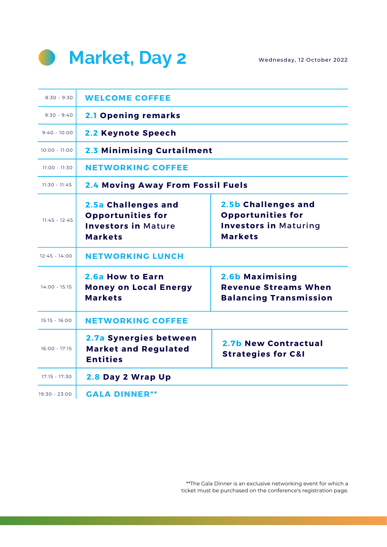

Wednesday, 12 October 2022

| $8:30 - 9:30$   | <b>WELCOME COFFEE</b>                                                                           |                                                                                                   |  |  |  |
|-----------------|-------------------------------------------------------------------------------------------------|---------------------------------------------------------------------------------------------------|--|--|--|
| $9:30 - 9:40$   | <b>2.1 Opening remarks</b>                                                                      |                                                                                                   |  |  |  |
| $9:40 - 10:00$  | 2.2 Keynote Speech                                                                              |                                                                                                   |  |  |  |
| $10:00 - 11:00$ | 2.3 Minimising Curtailment                                                                      |                                                                                                   |  |  |  |
| $11:00 - 11:30$ | <b>NETWORKING COFFEE</b>                                                                        |                                                                                                   |  |  |  |
| $11:30 - 11:45$ | 2.4 Moving Away From Fossil Fuels                                                               |                                                                                                   |  |  |  |
| $11:45 - 12:45$ | 2.5a Challenges and<br><b>Opportunities for</b><br><b>Investors in Mature</b><br><b>Markets</b> | 2.5b Challenges and<br><b>Opportunities for</b><br><b>Investors in Maturing</b><br><b>Markets</b> |  |  |  |
| $12:45 - 14:00$ | <b>NETWORKING LUNCH</b>                                                                         |                                                                                                   |  |  |  |
| $14:00 - 15:15$ | 2.6a How to Earn<br><b>Money on Local Energy</b><br><b>Markets</b>                              | 2.6b Maximising<br><b>Revenue Streams When</b><br><b>Balancing Transmission</b>                   |  |  |  |
| $15:15 - 16:00$ | <b>NETWORKING COFFEE</b>                                                                        |                                                                                                   |  |  |  |
| $16:00 - 17:15$ | 2.7a Synergies between<br><b>Market and Regulated</b><br><b>Entities</b>                        | 2.7b New Contractual<br><b>Strategies for C&amp;I</b>                                             |  |  |  |
| $17:15 - 17:30$ | 2.8 Day 2 Wrap Up                                                                               |                                                                                                   |  |  |  |
| 19:30 - 23:00   | <b>GALA DINNER**</b>                                                                            |                                                                                                   |  |  |  |